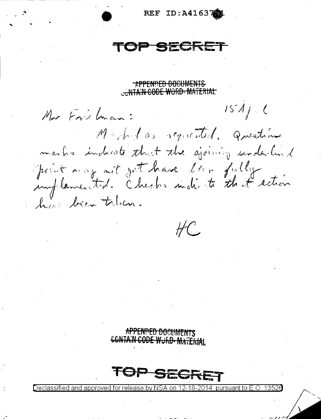ID:A41637  $\bf{REF}$ 

APPENDED DOCUMENTS **WITA:N CODE WORD-MATERIAL** 

 $1574/10$ Mor Frietman: Machelas requested. Question marks indeed that the ajoining underlind print mag net get have been fully action

 $H C$ 

SE

APPENDED DOCUMENTS CONTAIN CODE WORD-MATERIAL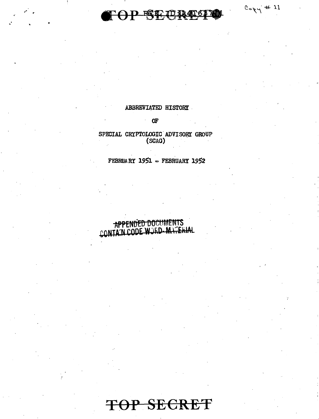P SE U

 $C_0 \gamma + 11$ 

### ABBREVIATED HISTORY

### Œ

## SPECIAL CRYPTOLOGIC ADVISORY GROUP (SCAG)

### FEBRUARY 1951 - FEBRUARY 1952

## APPENDED DOCUMENTS CONTAIN CODE WORD-MATERIAL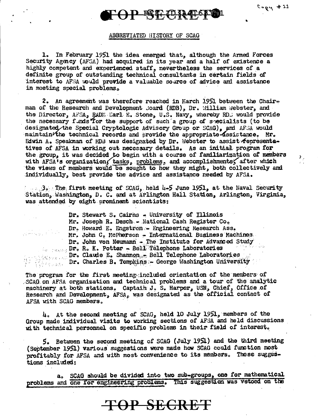۶,

# **TOPERDRIEL**

### ABBREVIATED HISTORY OF SCAG

1. In February 1951 the idea emerged that, although the Armed Forces Security Agency (AFSA) had acquired in its year and a half of existence a highly competent and experienced staff, nevertheless the services of a definite group of outstanding technical consultants in certain fields of interest to AFSA would provide a valuable source of advice and assistance in meeting special problems.

2. An agreement was therefore reached in March 1951 between the Chairman of the Research and Development Joard (RDB), Dr. William Webster, and the Director, AFSA, RADE Earl E. Stone, U.S. Navy, whereby RDS would provide the necessary funds for the support of such a group of specialists (to be designated the Special Cryptologic Advisory Group or SCAG), and AFSA would maintain/the technical records and provide the appropriate assistance. Mr. Edwin A. Speakman of HDB was designated by Dr. Webster to assist fepresentatives of AFSA in working out necessary details. As an initial program for the group, it was decided to begin with a course of familiarization of members with AFSA's organization, tasks, problems, and accomplishments, after which the views of members would be sought to how they might, both collectively and individually, best provide the advice and assistance needed by AFSA.

 $\sim$   $\sim$  3.0 The first meeting of SCAG, held 4-5 June 1951, at the Naval Security Station, Washington, D. C. and at Arlington Hall Station, Arlington, Virginia, was attended by eight prominent scientists:

Dr. Stewart S. Cairns - University of Illinois Mr. Joseph R. Desch - National Cash Register Co. Dr. Howard E. Engstrom - Engineering Research Ass. Mr. John C. McPherson - International Business Machines. Dr. John von Neumann - The Institute for Advanced Study **Second Dr. R. K. Potter - Bell Telephone Laboratories** Dr. Claude E. Shannon - Bell Telephone Laboratories<br>Dr. Charles B. Tompkins - George Washington University

The program for the first meeting included orientation of the members of SCAG on AFSA organization and technical problems and a tour of the analytic machinery at both stations. Captain J. S. Harper, USN, Chief, Office of Research and Development, AFSA, was designated as the official contact of AFSA with SCAG members.

4. At the second meeting of SCAG, held 10 July 1951, members of the Group made individual visits to working sections of AFSA and held discussions with technical personnel on specific problems in their field of interest.

5. Between the second meeting of SCAG (July 1951) and the third meeting (September 1951) various suggestions were made how SCAG could function most profitably for AFSA and with most convenience to its members. These suggestions included:

a. SCAG should be divided into two sub-groups, one for mathematical problems and one for engineering problems. This suggestion was vetoed on the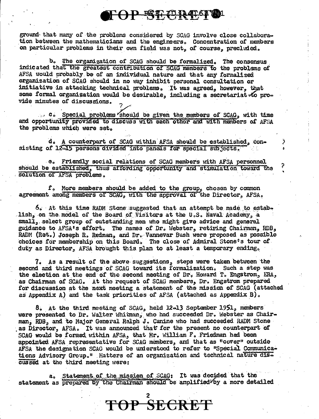TOP SECRES O

ground that many of the problems considered by SCAG involve close collaboration between the mathematicians and the engineers. Concentration of members on particular problems in their own field was not, of course, precluded.

b. The organization of SCAG should be formalized. The consensus indicated that the greatest contribution of SCAG members to the problems of AFSA would probably be of an individual nature and that any formalized organization of SCAG should in no way inhibit personal consultation or initiative in attacking technical problems. It was agreed, however, that some formal organization would be desirable, including a secretariat of provide minutes of discussions.

... C. Special problems should be given the members of SCAG, with time and opportunity provided to discuss with each other and with members of AFSA the problems which were set.

d. A counterpart of SCAG within AFSA should be established, consisting of 12-15 persons divided into panals for special subjects.

e. Friendly social relations of SCAG members with AFSA personnel should be established, thus affording opportunity and stimulation toward the solution of AFSA problems.

⋟

f. More members should be added to the group, chosen by common agreement among members of SCAG, with the approval of the Director, AFSA.

6. At this time RADM Stone suggested that an attempt be made to estabe lish, on the model of the Board of Visitors at the U.S. Naval Academy, a small, select group of outstanding men who might give advice and general guidance to AFSA's effort. The names of Dr. Webster, retiring Chairman, RDB, RADM (Ret.) Joseph R. Redman, and Dr. Vannevar Bush were proposed as possible choices for membership on this Board. The close of Admiral Stone's tour of duty as Director, AFSA brought this plan to at least a temporary ending,

7. As a result of the above suggestions, steps were taken between the second and third meetings of SCAG toward its formalization. Such a step was the election at the end of the second meeting of Dr. Howard T. Engstrom, ERA, as Chairman of SCAG. At the request of SCAG members, Dr. Engstrom prepared for discussion at the next meeting a statement of the mission of SCAG (attached as Appendix A) and the task priorities of AFSA (attached as Appendix B).

8. At the third meeting of SCAG, held 12-13 September 1951, members were presented to Dr. Walter Whitman, who had succeeded Dr. Webster as Chairman, RDB, and to Major General Ralph J. Canine who had succeeded RADM Stone as Director, AFSA. It was announced that for the present no counterpart of SCAG would be formed within AFSA, that Mr. William F. Friedman had been appointed AFSA representative for SCAG members, and that as "cover" outside AFSA the designation SCAG would be understood to refer to "Special Communications Advisory Group." Matters of an organization and technical nature discussed at the third meeting were:

a. Statement of the mission of SCAG: It was decided that the statement as prepared by the Chairman should be amplified by a more detailed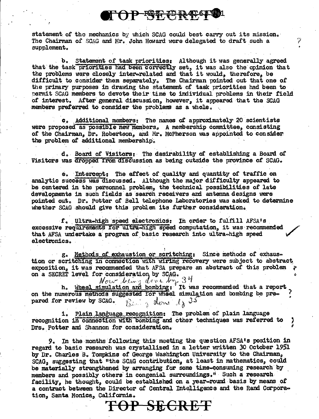## OP ST PRIST

statement of the mechanics by which SCAG could best carry out its mission. The Chairman of SCAG and Mr. John Howard were delegated to draft such a supplement.

b. Statement of task priorities: Although it was generally agreed that the task priorities had been correctly set, it was also the opinion that the problems were closely intererelated and that it would, therefore, be difficult to consider them separately. The Chairman pointed out that one of the primary purposes in drawing the statement of task priorities had been to permit SCAG members to devote their time to individual problems in their field of interest. After general discussion, however, it appeared that the SCAG members preferred to consider the problems as a whole.

c. Additional members: The names of approximately 20 scientists were proposed as possible new members, A membership committee, consisting of the Chairman, Dr. Robertson, and Mr. McPherson was appointed to consider the problem of additional membership.

d. Board of Visitors: The desirability of establishing a Board of Visitors was dropped from discussion as being outside the province of SCAG.

e. Intercept: The effect of quality and quantity of traffic on analytic success was discussed. Although the major difficulty appeared to be centered in the personnel problem, the technical possibilities of late developments in such fields as search receivers and antenna designs were pointed out. Dr. Potter of Bell telephone Laboratories was asked to determine whether SCAG should give this problem its further consideration.

f. Ultra-high speed electronics: In order to fulfill AFSA's excessive requirements for ultra-high speed computation, it was recommended that AFSA undertake a program of basic research into ultra-high speed electronics.

g. Methods of exhaustion or scritching: Since methods of exhaustion or scritching in connection with wiring recovery were subject to abstract exposition, it was recommensed that is scale.<br>on a SECRET level for consideration by SCAG. exposition, it was recommended that AFSA prepare an abstract of this problem

h. We will disc the 1997 on the numerous methods suggested for wheel simulation and bombing: It was recommended that a report on the numerous methods suggested for wheel simulation and bombing be pre- $\beta$  in a done dy 35 pared for review by SCAG.

1. Plain language recognition: The problem of plain language recognition in connection with bombing and other techniques was referred to Drs. Potter and Shannon for consideration.

9. In the months following this meeting the question AFSA's position in regard to basic research was crystallized in a letter written 30 October 1951 by Dr. Charles B. Tompkins of George Washington University to the Chairman, SCAG, suggesting that "the SCAG contribution, at least in mathematics, could be materially strengthened by arranging for some time-consuming research by members and possibly others in congenial surroundings." Such a research facility, he thought, could be established on a year-round basis by means of a contract between the Director of Central Intelligence and the Rand Corporation, Santa Monica, California.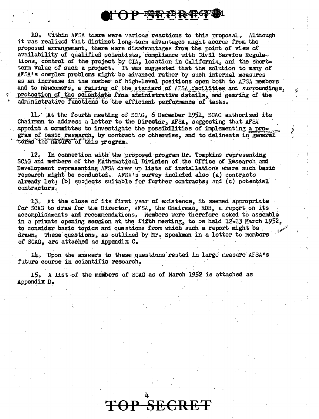**FOP SEPREST!** 

10. Within AFSA there were various reactions to this proposal. Although it was realized that distinct long-term advantages might accrue from the proposed arrangement, there were disadvantages from the point of view of availability of qualified scientists, compliance with Civil Service Regulations, control of the project by CIA, location in California, and the shortterm value of such a project. It was suggested that the solution to many of AFSA's complex problems might be advanced rather by such internal measures as an increase in the number of high-level positions open both to AFSA members and to newcomers, a raising of the standard of AFSA facilities and surroundings, protection of the scientists from administrative details, and gearing of the administrative functions to the efficient performance of tasks.

11. At the fourth meeting of SCAG, 6 December 1951, SCAG authorized its Chairman to address a letter to the Director, AFSA, suggesting that AFSA appoint a committee to investigate the possibilities of implementing a program of basic research, by contract or otherwise, and to delineate in general terms the nature of this program.

12. In connection with the proposed program Dr. Tompkins representing SCAG and members of the Mathematical Division of the Office of Research and Development representing AFSA drew up lists of installations where such basic research might be conducted. AFSA's survey included also (a) contracts already let; (b) subjects suitable for further contracts; and (c) potential contractors.

13. At the close of its first year of existence, it seemed appropriate for SCAG to draw for the Director, AFSA, the Chairman, RDB, a report on its accomplishments and recommendations. Members were therefore asked to assemble in a private opening session at the fifth meeting, to be held 12-13 March 1952, to consider basic topics and questions from which such a report might be. drawn. These questions, as outlined by Mr. Speakman in a letter to members of SCAG, are attached as Appendix C.

14. Upon the answers to these questions rested in large measure AFSA's future course in scientific research.

15. A list of the members of SCAG as of March 1952 is attached as Appendix D.

OP SECRE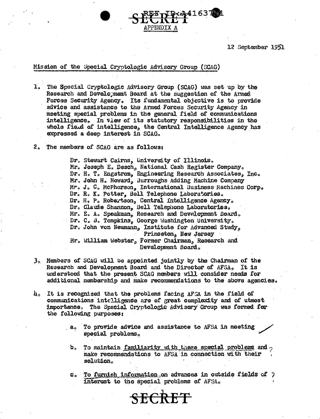12 September 1951

### Mission of the Special Cryptologic Advisory Group (SCAG)

1. The Special Cryptologic Advisory Group (SCAG) was set up by the Research and Development Board at the suggestion of the Armed Forces Security Agency. Its fundamental objective is to provide advice and assistance to the Armed Forces Security Agency in meeting special problems in the general field of communications intelligence. In view of its statutory responsibilities in the whole field of intelligence, the Central Intelligence Agency has expressed a deep interest in SCAG.

PPENDIX A

2. The members of SCAG are as follows:

Dr. Stewart Cairns, University of Illinois. Mr. Joseph E. Desch, National Cash Register Company. Dr. H. T. Engstrom, Engineering Research Associates, Inc. Mr. John H. Howard, Burroughs Adding Machine Company Mr. J. C. McPherson, International Business Machines Corp. Dr. R. K. Potter, Bell Telephone Laboratories. Dr. H. P. Robertson, Central Intelligence Agency. Dr. Claude Shannon, Bell Telephone Laboratories. Mr. E. A. Speakman, Research and Development Board. Dr. C. B. Tompkins, George Washington University. Dr. John von Neumann, Institute for Advanced Study, Princeton, New Jersey Mr. William Webster, Former Chairman, Research and Development Board.

41637ج،

- 3. Members of SCAG will be appointed jointly by the Chairman of the Research and Development Board and the Director of AFSA. It is understood that the present SCAG members will consider needs for additional mambership and make recommendations to the above agencies.
- 4. It is recognized that the problems facing AFSA in the field of communications intelligence are of great complexity and of utmost importance. The Special Cryptologic Advisory Group was formed for the following purposes:
	- To provide advice and assistance to AFSA in meeting  $a_{\rm o}$ special problems.
	- $\mathbf{b}_{\bullet}$ To maintain familiarity with these special problems and  $_2$ make recommendations to AFSA in connection with their solution.
	- To furnish information on advances in outside fields of 7  $\mathbf{c}_{\bullet}$ interest to the special problems of AFSA.

**SECRET**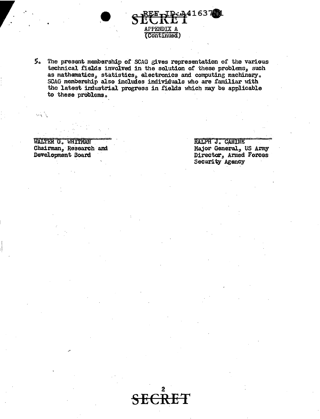5. The present membership of SCAG gives representation of the various technical fields involved in the solution of these problems, such as mathematics, statistics, electronics and computing machinery.<br>SCAG membership also includes individuals who are familiar with the latest industrial progress in fields which may be applicable to these problems.

(Continued)

41637

WALTER G. WHITMAN Chairman, Research and Development Board

 $\mathcal{O}(\sqrt{N})$ 

RALPH J. CANINE Major General, US Army Director, Armed Forces Security Agency

EŦ <del>SE</del>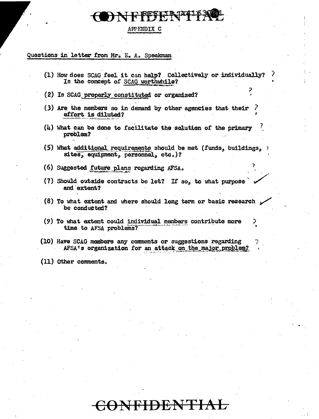## APPENDIX C

## Questions in letter from Mr. E. A. Speakman

| (1) How does SCAG feel it can help? Collectively or individually?<br>Is the concept of SCAC worthwhile?                 |
|-------------------------------------------------------------------------------------------------------------------------|
| (2) Is SCAG properly constituted or organized?                                                                          |
| (3) Are the members so in demand by other agencies that their<br>effort is diluted?                                     |
| $(\mu)$ What can be done to facilitate the solution of the primary<br>problem?                                          |
| (5) What additional requirements should be met (funds, buildings, $\gamma$<br>sites, equipment, personnel, etc.)?       |
| (6) Suggested future plans regarding AFSA.                                                                              |
| (7) Should outside contracts be let? If so, to what purpose<br>and extent?                                              |
| $(8)$ To what extent and where should long term or basic research $\mathcal{L}$<br>be conducted?                        |
| (9) To what extent could individual members contribute more<br>₹<br>time to AFSA problems?                              |
| (10) Have SCAG members any comments or suggestions regarding<br>AFSA's organization for an attack on the major problem? |
| (11) Other comments。                                                                                                    |
|                                                                                                                         |
|                                                                                                                         |

### <del>JTIAL</del>  $\bf H\bf H$  $\rm{E}$ COL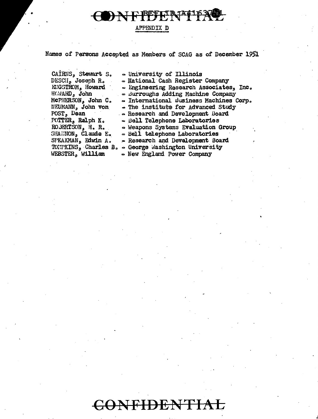I) N F FFFFFFFFFF

### APPENDIX D

Names of Persons Accepted as Members of SCAG as of December 1951

CAIRNS, Stewart S. DESCII, Joseph R. EUGSTROM, Howard HOMARD, John MCPHERSON, John C. NEUMANN, John von POST, Dean POTTER, Ralph K. ROBERTSON, H. R. SHANNON,  $CLaud@E@$ SPEAKMAN, Edwin A. WEBSTER, William

- University of Illinois - National Cash Register Company - Engineering Research Associates, Inc. - Burroughs Adding Machine Company « International Business Machines Corp. - The institute for Advanced Study . Research and Development Board · Bell Telephone Laboratories - Weapons Systems Evaluation Group - Bell telephone Laboratories - Research and Development Board TOMPKINS, Charles B. - George Washington University · New England Power Company

# CONFIDENTIAL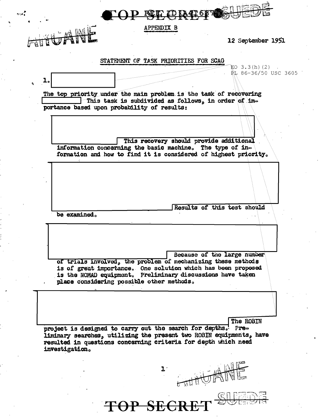

**APPENDIX B** 

12 September 1951

### STATEMENT OF TASK PRIORITIES FOR SCAG

記O 3.3(h)(2) Rt. 86-36/50 USC 3605 The top priority under the main problem is the task of recovering This task is subdivided as follows, in order of importance based upon probability of results: This recovery should provide additional information concerning the basic machine. The type of in-<br>formation and how to find it is considered of highest priority. Results of this test should be examined. Because of the large number of trials involved, the problem of mechanizing these methods is of great importance. One solution which has been proposed is the NOMAD equipment. Preliminary discussions have taken place considering possible other methods. The ROBIN project is designed to carry out the search for depths. Preliminary searches, utilizing the present two ROBIN equipments, have resulted in questions concerning criteria for depth which need investigation.  $\mathbf{L}$ 

**TOP SECR**